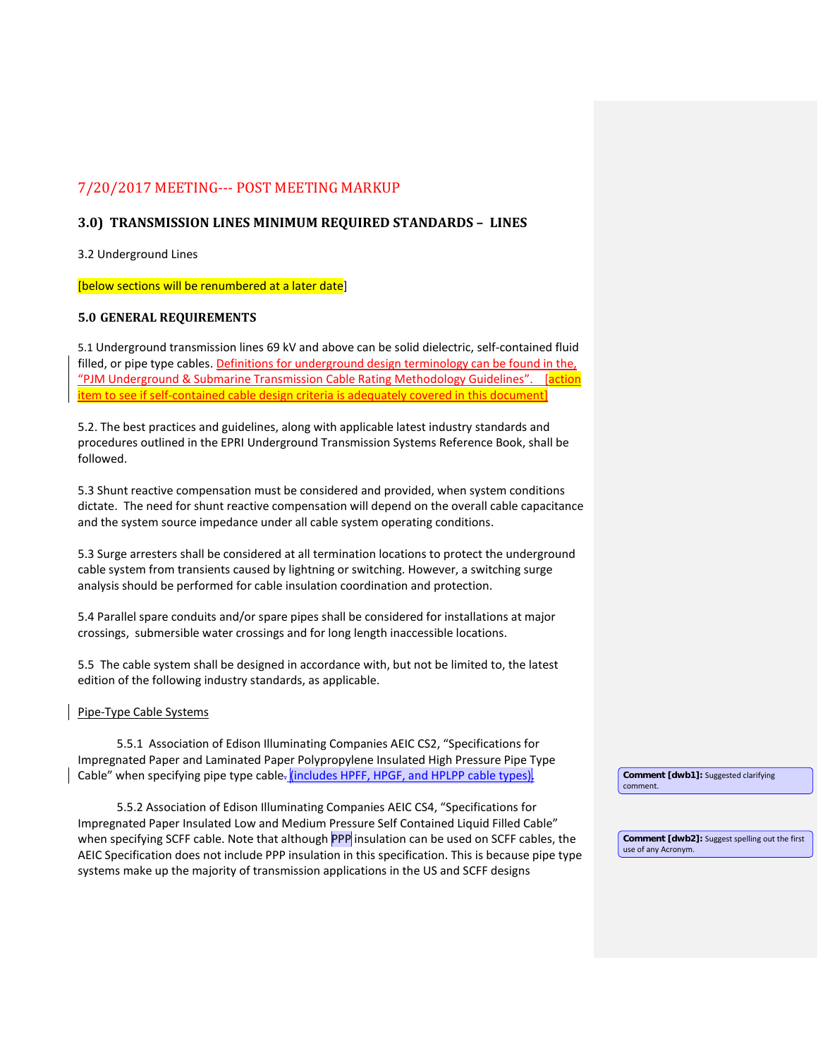# 7/20/2017 MEETING--- POST MEETING MARKUP

# **3.0) TRANSMISSION LINES MINIMUM REQUIRED STANDARDS – LINES**

3.2 Underground Lines

[below sections will be renumbered at a later date]

# **5.0 GENERAL REQUIREMENTS**

5.1 Underground transmission lines 69 kV and above can be solid dielectric, self-contained fluid filled, or pipe type cables. Definitions for underground design terminology can be found in the, "PJM Underground & Submarine Transmission Cable Rating Methodology Guidelines". [action item to see if self-contained cable design criteria is adequately covered in this document]

5.2. The best practices and guidelines, along with applicable latest industry standards and procedures outlined in the EPRI Underground Transmission Systems Reference Book, shall be followed.

5.3 Shunt reactive compensation must be considered and provided, when system conditions dictate. The need for shunt reactive compensation will depend on the overall cable capacitance and the system source impedance under all cable system operating conditions.

5.3 Surge arresters shall be considered at all termination locations to protect the underground cable system from transients caused by lightning or switching. However, a switching surge analysis should be performed for cable insulation coordination and protection.

5.4 Parallel spare conduits and/or spare pipes shall be considered for installations at major crossings, submersible water crossings and for long length inaccessible locations.

5.5 The cable system shall be designed in accordance with, but not be limited to, the latest edition of the following industry standards, as applicable.

## Pipe-Type Cable Systems

5.5.1 Association of Edison Illuminating Companies AEIC CS2, "Specifications for Impregnated Paper and Laminated Paper Polypropylene Insulated High Pressure Pipe Type Cable" when specifying pipe type cable. (includes HPFF, HPGF, and HPLPP cable types).

5.5.2 Association of Edison Illuminating Companies AEIC CS4, "Specifications for Impregnated Paper Insulated Low and Medium Pressure Self Contained Liquid Filled Cable" when specifying SCFF cable. Note that although PPP insulation can be used on SCFF cables, the AEIC Specification does not include PPP insulation in this specification. This is because pipe type systems make up the majority of transmission applications in the US and SCFF designs

**Comment [dwb1]:** Suggested clarifying comment.

**Comment [dwb2]:** Suggest spelling out the first use of any Acronym.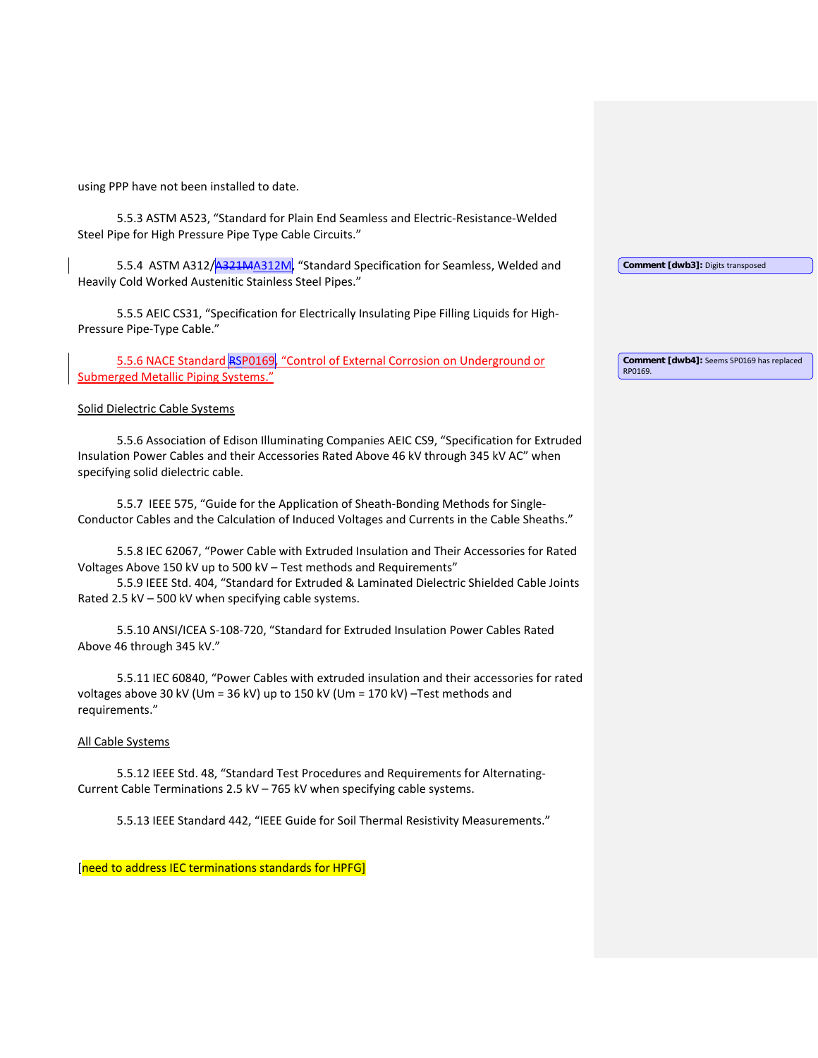using PPP have not been installed to date.

5.5.3 ASTM A523, "Standard for Plain End Seamless and Electric-Resistance-Welded Steel Pipe for High Pressure Pipe Type Cable Circuits."

5.5.4 ASTM A312/A321MA312M, "Standard Specification for Seamless, Welded and Heavily Cold Worked Austenitic Stainless Steel Pipes."

5.5.5 AEIC CS31, "Specification for Electrically Insulating Pipe Filling Liquids for High-Pressure Pipe-Type Cable."

5.5.6 NACE Standard RSP0169, "Control of External Corrosion on Underground or Submerged Metallic Piping Systems."

#### Solid Dielectric Cable Systems

5.5.6 Association of Edison Illuminating Companies AEIC CS9, "Specification for Extruded Insulation Power Cables and their Accessories Rated Above 46 kV through 345 kV AC" when specifying solid dielectric cable.

5.5.7 IEEE 575, "Guide for the Application of Sheath-Bonding Methods for Single-Conductor Cables and the Calculation of Induced Voltages and Currents in the Cable Sheaths."

5.5.8 IEC 62067, "Power Cable with Extruded Insulation and Their Accessories for Rated Voltages Above 150 kV up to 500 kV – Test methods and Requirements"

5.5.9 IEEE Std. 404, "Standard for Extruded & Laminated Dielectric Shielded Cable Joints Rated 2.5 kV – 500 kV when specifying cable systems.

5.5.10 ANSI/ICEA S-108-720, "Standard for Extruded Insulation Power Cables Rated Above 46 through 345 kV."

5.5.11 IEC 60840, "Power Cables with extruded insulation and their accessories for rated voltages above 30 kV (Um = 36 kV) up to 150 kV (Um = 170 kV) –Test methods and requirements."

### All Cable Systems

5.5.12 IEEE Std. 48, "Standard Test Procedures and Requirements for Alternating-Current Cable Terminations 2.5 kV – 765 kV when specifying cable systems.

5.5.13 IEEE Standard 442, "IEEE Guide for Soil Thermal Resistivity Measurements."

[need to address IEC terminations standards for HPFG]

**Comment [dwb4]:** Seems SP0169 has replaced RP0169.

**Comment [dwb3]:** Digits transposed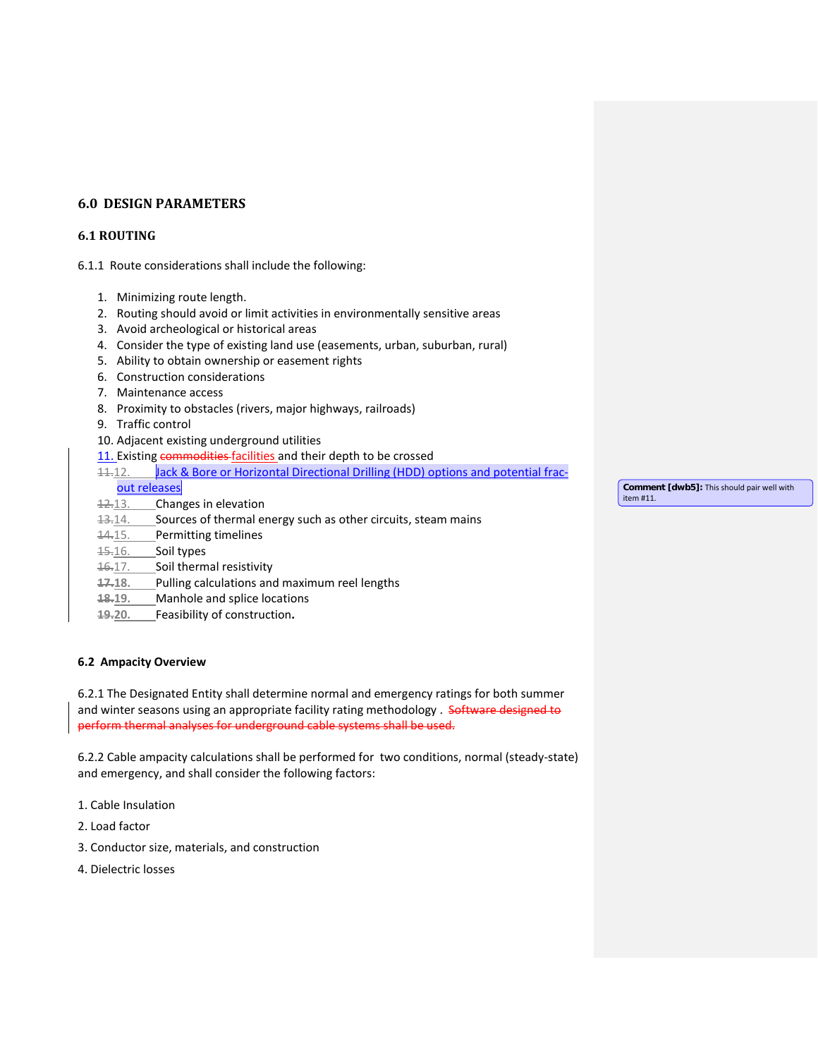# **6.0 DESIGN PARAMETERS**

# **6.1 ROUTING**

6.1.1 Route considerations shall include the following:

- 1. Minimizing route length.
- 2. Routing should avoid or limit activities in environmentally sensitive areas
- 3. Avoid archeological or historical areas
- 4. Consider the type of existing land use (easements, urban, suburban, rural)
- 5. Ability to obtain ownership or easement rights
- 6. Construction considerations
- 7. Maintenance access
- 8. Proximity to obstacles (rivers, major highways, railroads)
- 9. Traffic control
- 10. Adjacent existing underground utilities
- 11. Existing commodities facilities and their depth to be crossed
- 11.12. Jack & Bore or Horizontal Directional Drilling (HDD) options and potential frac-
- out releases
- 12.13. Changes in elevation
- 13.14. Sources of thermal energy such as other circuits, steam mains
- 14.15. Permitting timelines
- 15.16. Soil types
- 16.17. Soil thermal resistivity
- **17.18.** Pulling calculations and maximum reel lengths
- **18.19.** Manhole and splice locations
- **19.20.** Feasibility of construction**.**

### **6.2 Ampacity Overview**

6.2.1 The Designated Entity shall determine normal and emergency ratings for both summer and winter seasons using an appropriate facility rating methodology . Software designed to perform thermal analyses for underground cable systems shall be used.

6.2.2 Cable ampacity calculations shall be performed for two conditions, normal (steady-state) and emergency, and shall consider the following factors:

- 1. Cable Insulation
- 2. Load factor
- 3. Conductor size, materials, and construction
- 4. Dielectric losses

**Comment [dwb5]:** This should pair well with item #11.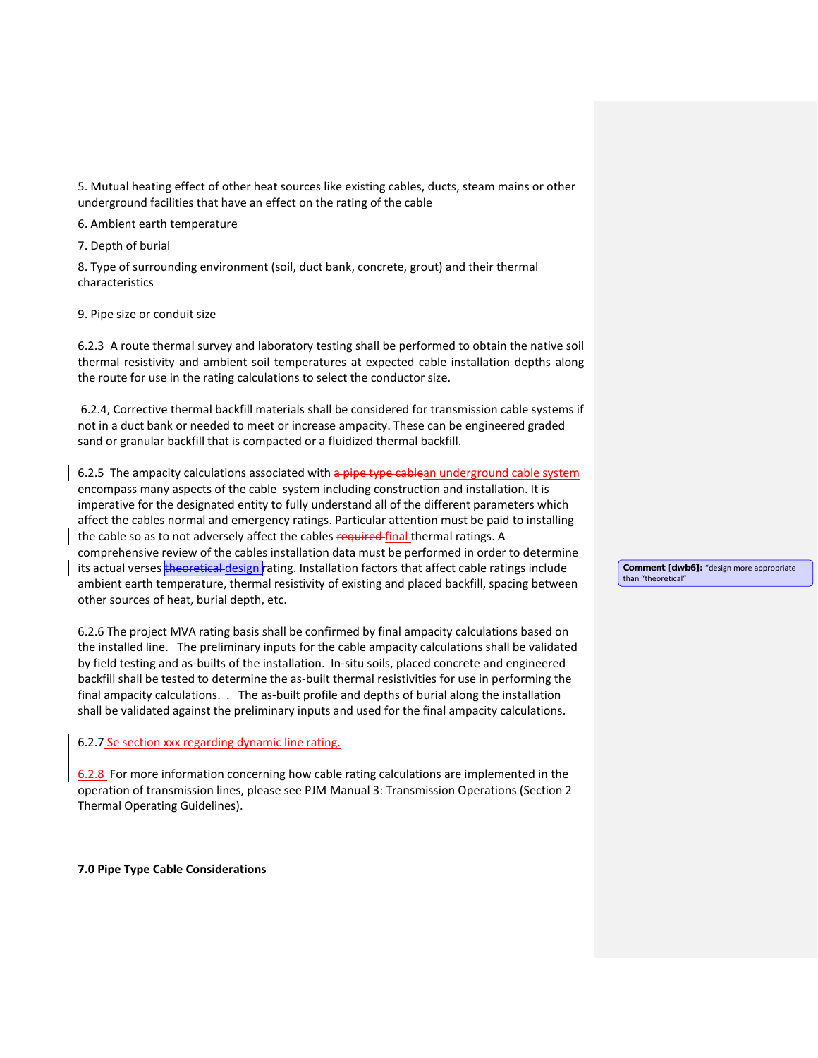5. Mutual heating effect of other heat sources like existing cables, ducts, steam mains or other underground facilities that have an effect on the rating of the cable

6. Ambient earth temperature

7. Depth of burial

8. Type of surrounding environment (soil, duct bank, concrete, grout) and their thermal characteristics

9. Pipe size or conduit size

6.2.3 A route thermal survey and laboratory testing shall be performed to obtain the native soil thermal resistivity and ambient soil temperatures at expected cable installation depths along the route for use in the rating calculations to select the conductor size.

6.2.4, Corrective thermal backfill materials shall be considered for transmission cable systems if not in a duct bank or needed to meet or increase ampacity. These can be engineered graded sand or granular backfill that is compacted or a fluidized thermal backfill.

6.2.5 The ampacity calculations associated with a pipe type cablean underground cable system encompass many aspects of the cable system including construction and installation. It is imperative for the designated entity to fully understand all of the different parameters which affect the cables normal and emergency ratings. Particular attention must be paid to installing the cable so as to not adversely affect the cables required-final thermal ratings. A comprehensive review of the cables installation data must be performed in order to determine its actual verses theoretical design rating. Installation factors that affect cable ratings include ambient earth temperature, thermal resistivity of existing and placed backfill, spacing between other sources of heat, burial depth, etc.

6.2.6 The project MVA rating basis shall be confirmed by final ampacity calculations based on the installed line. The preliminary inputs for the cable ampacity calculations shall be validated by field testing and as-builts of the installation. In-situ soils, placed concrete and engineered backfill shall be tested to determine the as-built thermal resistivities for use in performing the final ampacity calculations. . The as-built profile and depths of burial along the installation shall be validated against the preliminary inputs and used for the final ampacity calculations.

## 6.2.7 Se section xxx regarding dynamic line rating.

6.2.8 For more information concerning how cable rating calculations are implemented in the operation of transmission lines, please see PJM Manual 3: Transmission Operations (Section 2 Thermal Operating Guidelines).

**7.0 Pipe Type Cable Considerations**

**Comment [dwb6]:** "design more appropriate than "theoretical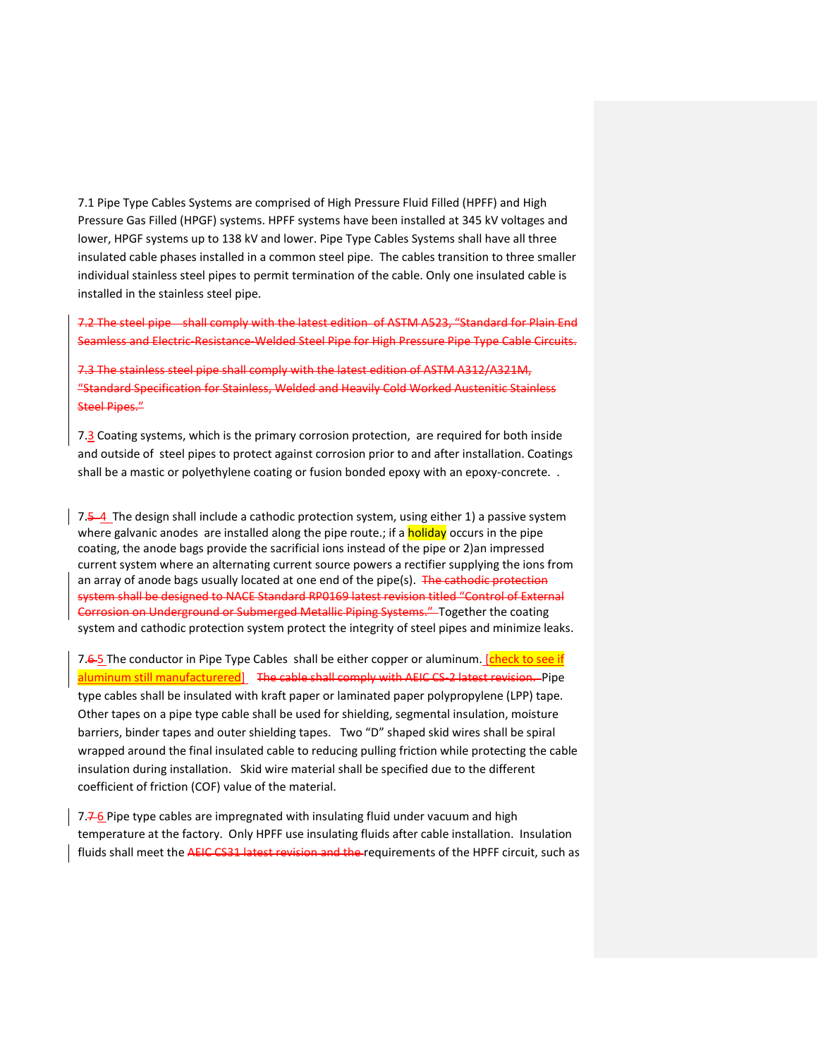7.1 Pipe Type Cables Systems are comprised of High Pressure Fluid Filled (HPFF) and High Pressure Gas Filled (HPGF) systems. HPFF systems have been installed at 345 kV voltages and lower, HPGF systems up to 138 kV and lower. Pipe Type Cables Systems shall have all three insulated cable phases installed in a common steel pipe. The cables transition to three smaller individual stainless steel pipes to permit termination of the cable. Only one insulated cable is installed in the stainless steel pipe.

7.2 The steel pipe shall comply with the latest edition of ASTM A523, "Standard for Plain End Seamless and Electric-Resistance-Welded Steel Pipe for High Pressure Pipe Type Cable Circuits.

7.3 The stainless steel pipe shall comply with the latest edition of ASTM A312/A321M, "Standard Specification for Stainless, Welded and Heavily Cold Worked Austenitic Stainless Steel Pipes."

7.3 Coating systems, which is the primary corrosion protection, are required for both inside and outside of steel pipes to protect against corrosion prior to and after installation. Coatings shall be a mastic or polyethylene coating or fusion bonded epoxy with an epoxy-concrete. .

7.5 4 The design shall include a cathodic protection system, using either 1) a passive system where galvanic anodes are installed along the pipe route.; if a **holiday** occurs in the pipe coating, the anode bags provide the sacrificial ions instead of the pipe or 2)an impressed current system where an alternating current source powers a rectifier supplying the ions from an array of anode bags usually located at one end of the pipe(s). The cathodic protection system shall be designed to NACE Standard RP0169 latest revision titled "Control of External Corrosion on Underground or Submerged Metallic Piping Systems." Together the coating system and cathodic protection system protect the integrity of steel pipes and minimize leaks.

7.6-5 The conductor in Pipe Type Cables shall be either copper or aluminum. [check to see if aluminum still manufacturered] The cable shall comply with AEIC CS-2 latest revision. Pipe type cables shall be insulated with kraft paper or laminated paper polypropylene (LPP) tape. Other tapes on a pipe type cable shall be used for shielding, segmental insulation, moisture barriers, binder tapes and outer shielding tapes. Two "D" shaped skid wires shall be spiral wrapped around the final insulated cable to reducing pulling friction while protecting the cable insulation during installation. Skid wire material shall be specified due to the different coefficient of friction (COF) value of the material.

7. $7.76$  Pipe type cables are impregnated with insulating fluid under vacuum and high temperature at the factory. Only HPFF use insulating fluids after cable installation. Insulation fluids shall meet the AEIC CS31 latest revision and the requirements of the HPFF circuit, such as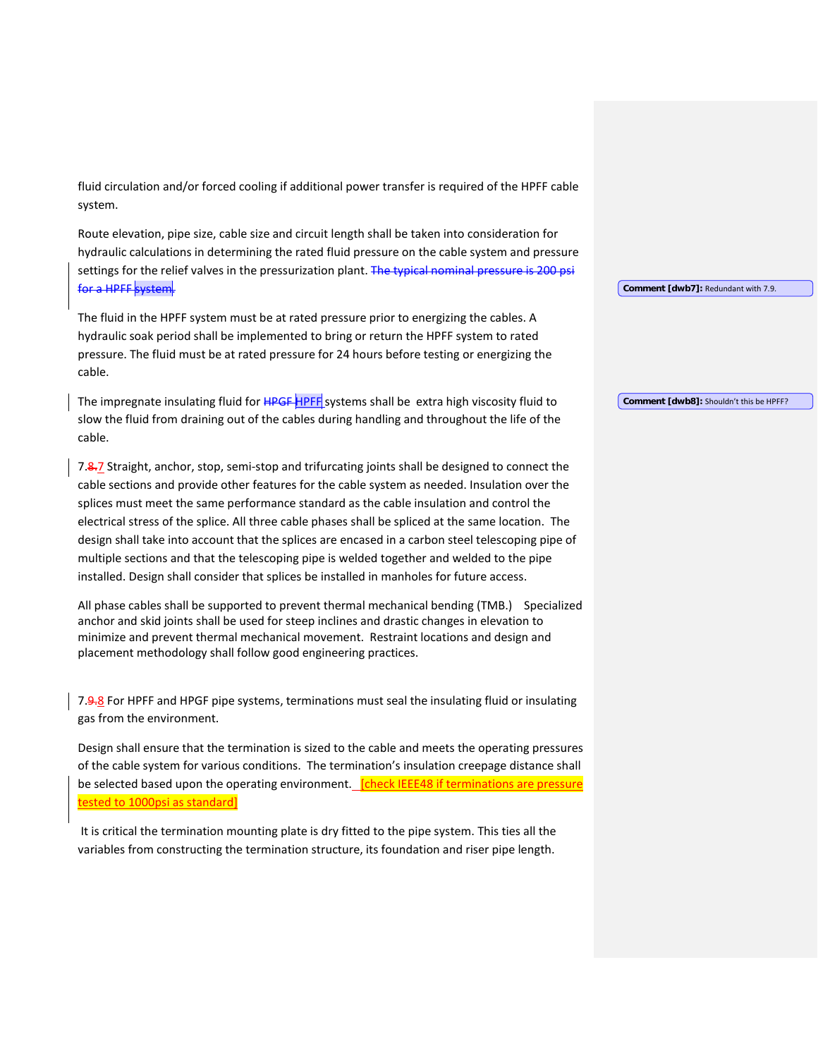fluid circulation and/or forced cooling if additional power transfer is required of the HPFF cable system.

Route elevation, pipe size, cable size and circuit length shall be taken into consideration for hydraulic calculations in determining the rated fluid pressure on the cable system and pressure settings for the relief valves in the pressurization plant. The typical nominal pressure is 200 psi for a HPFF system.

The fluid in the HPFF system must be at rated pressure prior to energizing the cables. A hydraulic soak period shall be implemented to bring or return the HPFF system to rated pressure. The fluid must be at rated pressure for 24 hours before testing or energizing the cable.

The impregnate insulating fluid for HPGF HPFF systems shall be extra high viscosity fluid to slow the fluid from draining out of the cables during handling and throughout the life of the cable.

7.8.7 Straight, anchor, stop, semi-stop and trifurcating joints shall be designed to connect the cable sections and provide other features for the cable system as needed. Insulation over the splices must meet the same performance standard as the cable insulation and control the electrical stress of the splice. All three cable phases shall be spliced at the same location. The design shall take into account that the splices are encased in a carbon steel telescoping pipe of multiple sections and that the telescoping pipe is welded together and welded to the pipe installed. Design shall consider that splices be installed in manholes for future access.

All phase cables shall be supported to prevent thermal mechanical bending (TMB.) Specialized anchor and skid joints shall be used for steep inclines and drastic changes in elevation to minimize and prevent thermal mechanical movement. Restraint locations and design and placement methodology shall follow good engineering practices.

7.9.8 For HPFF and HPGF pipe systems, terminations must seal the insulating fluid or insulating gas from the environment.

Design shall ensure that the termination is sized to the cable and meets the operating pressures of the cable system for various conditions. The termination's insulation creepage distance shall be selected based upon the operating environment. [check IEEE48 if terminations are pressure tested to 1000psi as standard]

It is critical the termination mounting plate is dry fitted to the pipe system. This ties all the variables from constructing the termination structure, its foundation and riser pipe length.

**Comment [dwb7]:** Redundant with 7.9.

**Comment [dwb8]:** Shouldn't this be HPFF?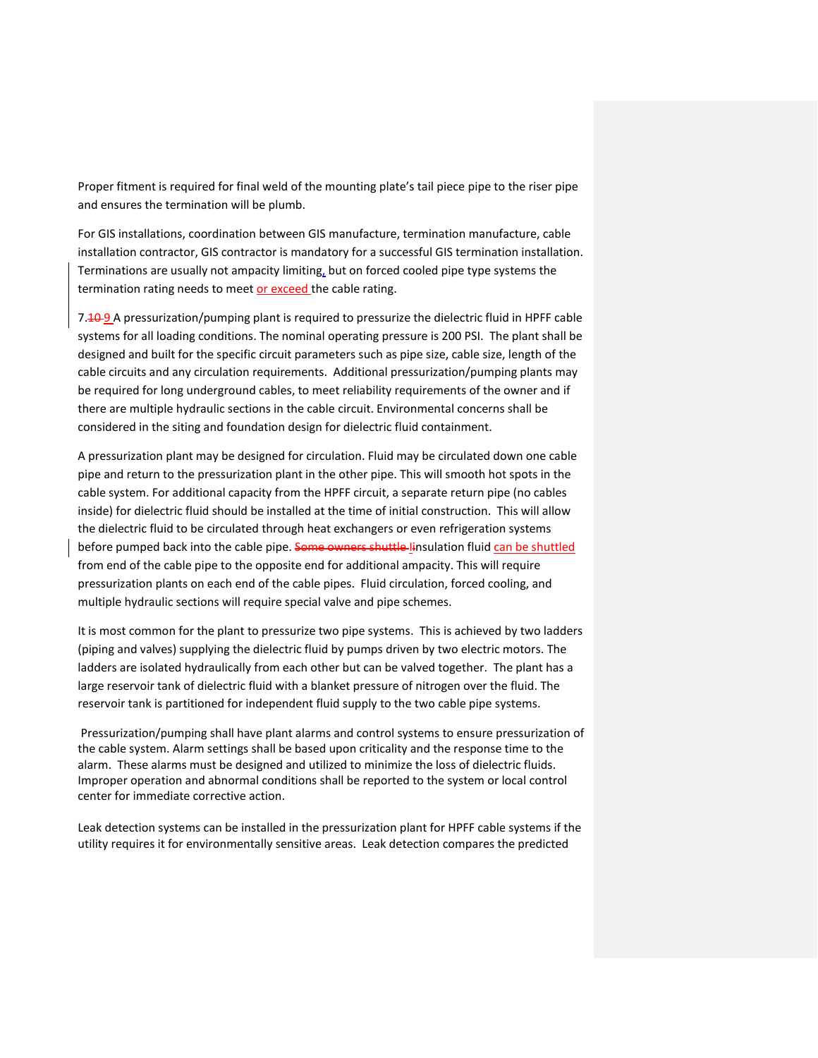Proper fitment is required for final weld of the mounting plate's tail piece pipe to the riser pipe and ensures the termination will be plumb.

For GIS installations, coordination between GIS manufacture, termination manufacture, cable installation contractor, GIS contractor is mandatory for a successful GIS termination installation. Terminations are usually not ampacity limiting, but on forced cooled pipe type systems the termination rating needs to meet or exceed the cable rating.

7. **10-9** A pressurization/pumping plant is required to pressurize the dielectric fluid in HPFF cable systems for all loading conditions. The nominal operating pressure is 200 PSI. The plant shall be designed and built for the specific circuit parameters such as pipe size, cable size, length of the cable circuits and any circulation requirements. Additional pressurization/pumping plants may be required for long underground cables, to meet reliability requirements of the owner and if there are multiple hydraulic sections in the cable circuit. Environmental concerns shall be considered in the siting and foundation design for dielectric fluid containment.

A pressurization plant may be designed for circulation. Fluid may be circulated down one cable pipe and return to the pressurization plant in the other pipe. This will smooth hot spots in the cable system. For additional capacity from the HPFF circuit, a separate return pipe (no cables inside) for dielectric fluid should be installed at the time of initial construction. This will allow the dielectric fluid to be circulated through heat exchangers or even refrigeration systems before pumped back into the cable pipe. Some owners shuttle linsulation fluid can be shuttled from end of the cable pipe to the opposite end for additional ampacity. This will require pressurization plants on each end of the cable pipes. Fluid circulation, forced cooling, and multiple hydraulic sections will require special valve and pipe schemes.

It is most common for the plant to pressurize two pipe systems. This is achieved by two ladders (piping and valves) supplying the dielectric fluid by pumps driven by two electric motors. The ladders are isolated hydraulically from each other but can be valved together. The plant has a large reservoir tank of dielectric fluid with a blanket pressure of nitrogen over the fluid. The reservoir tank is partitioned for independent fluid supply to the two cable pipe systems.

Pressurization/pumping shall have plant alarms and control systems to ensure pressurization of the cable system. Alarm settings shall be based upon criticality and the response time to the alarm. These alarms must be designed and utilized to minimize the loss of dielectric fluids. Improper operation and abnormal conditions shall be reported to the system or local control center for immediate corrective action.

Leak detection systems can be installed in the pressurization plant for HPFF cable systems if the utility requires it for environmentally sensitive areas. Leak detection compares the predicted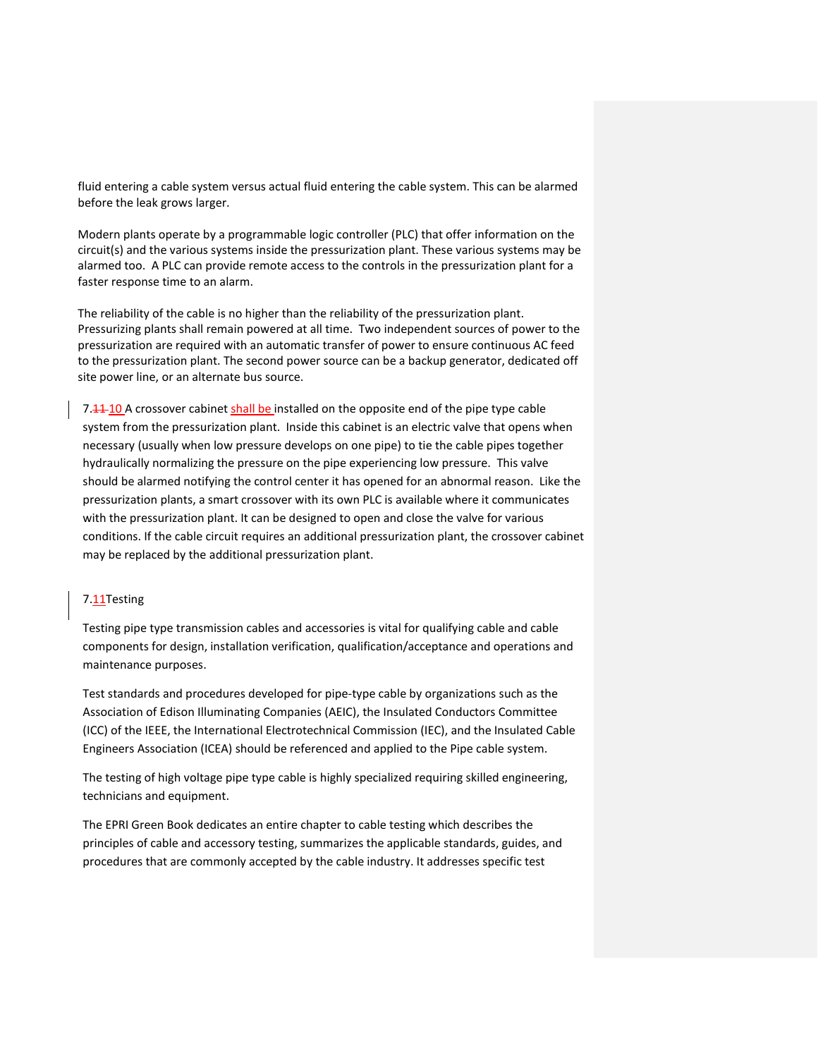fluid entering a cable system versus actual fluid entering the cable system. This can be alarmed before the leak grows larger.

Modern plants operate by a programmable logic controller (PLC) that offer information on the circuit(s) and the various systems inside the pressurization plant. These various systems may be alarmed too. A PLC can provide remote access to the controls in the pressurization plant for a faster response time to an alarm.

The reliability of the cable is no higher than the reliability of the pressurization plant. Pressurizing plants shall remain powered at all time. Two independent sources of power to the pressurization are required with an automatic transfer of power to ensure continuous AC feed to the pressurization plant. The second power source can be a backup generator, dedicated off site power line, or an alternate bus source.

7.44-10 A crossover cabinet shall be installed on the opposite end of the pipe type cable system from the pressurization plant. Inside this cabinet is an electric valve that opens when necessary (usually when low pressure develops on one pipe) to tie the cable pipes together hydraulically normalizing the pressure on the pipe experiencing low pressure. This valve should be alarmed notifying the control center it has opened for an abnormal reason. Like the pressurization plants, a smart crossover with its own PLC is available where it communicates with the pressurization plant. It can be designed to open and close the valve for various conditions. If the cable circuit requires an additional pressurization plant, the crossover cabinet may be replaced by the additional pressurization plant.

## 7.11Testing

Testing pipe type transmission cables and accessories is vital for qualifying cable and cable components for design, installation verification, qualification/acceptance and operations and maintenance purposes.

Test standards and procedures developed for pipe-type cable by organizations such as the Association of Edison Illuminating Companies (AEIC), the Insulated Conductors Committee (ICC) of the IEEE, the International Electrotechnical Commission (IEC), and the Insulated Cable Engineers Association (ICEA) should be referenced and applied to the Pipe cable system.

The testing of high voltage pipe type cable is highly specialized requiring skilled engineering, technicians and equipment.

The EPRI Green Book dedicates an entire chapter to cable testing which describes the principles of cable and accessory testing, summarizes the applicable standards, guides, and procedures that are commonly accepted by the cable industry. It addresses specific test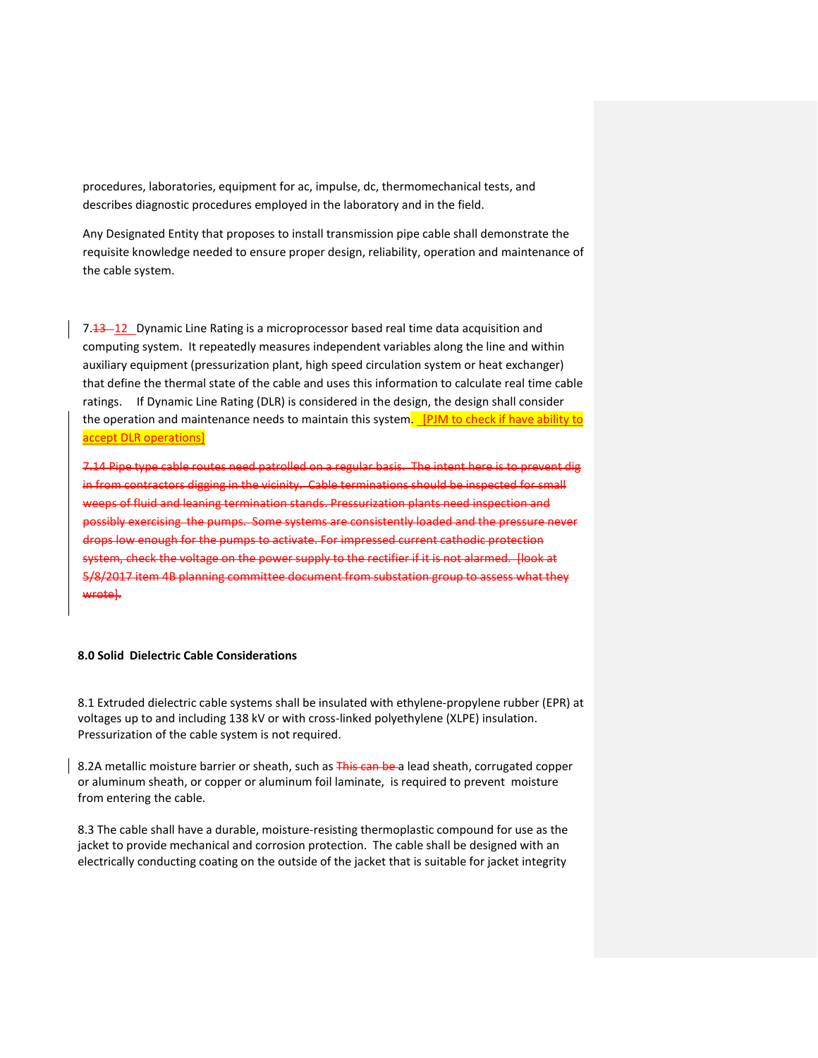procedures, laboratories, equipment for ac, impulse, dc, thermomechanical tests, and describes diagnostic procedures employed in the laboratory and in the field.

Any Designated Entity that proposes to install transmission pipe cable shall demonstrate the requisite knowledge needed to ensure proper design, reliability, operation and maintenance of the cable system.

7.43–12 Dynamic Line Rating is a microprocessor based real time data acquisition and computing system. It repeatedly measures independent variables along the line and within auxiliary equipment (pressurization plant, high speed circulation system or heat exchanger) that define the thermal state of the cable and uses this information to calculate real time cable ratings. If Dynamic Line Rating (DLR) is considered in the design, the design shall consider the operation and maintenance needs to maintain this system. [PJM to check if have ability to accept DLR operations]

7.14 Pipe type cable routes need patrolled on a regular basis. The intent here is to prevent dig in from contractors digging in the vicinity. Cable terminations should be inspected for small weeps of fluid and leaning termination stands. Pressurization plants need inspection and possibly exercising the pumps. Some systems are consistently loaded and the pressure never drops low enough for the pumps to activate. For impressed current cathodic protection system, check the voltage on the power supply to the rectifier if it is not alarmed. [look at 5/8/2017 item 4B planning committee document from substation group to assess what they wrote].

### **8.0 Solid Dielectric Cable Considerations**

8.1 Extruded dielectric cable systems shall be insulated with ethylene-propylene rubber (EPR) at voltages up to and including 138 kV or with cross-linked polyethylene (XLPE) insulation. Pressurization of the cable system is not required.

8.2A metallic moisture barrier or sheath, such as This can be a lead sheath, corrugated copper or aluminum sheath, or copper or aluminum foil laminate, is required to prevent moisture from entering the cable.

8.3 The cable shall have a durable, moisture-resisting thermoplastic compound for use as the jacket to provide mechanical and corrosion protection. The cable shall be designed with an electrically conducting coating on the outside of the jacket that is suitable for jacket integrity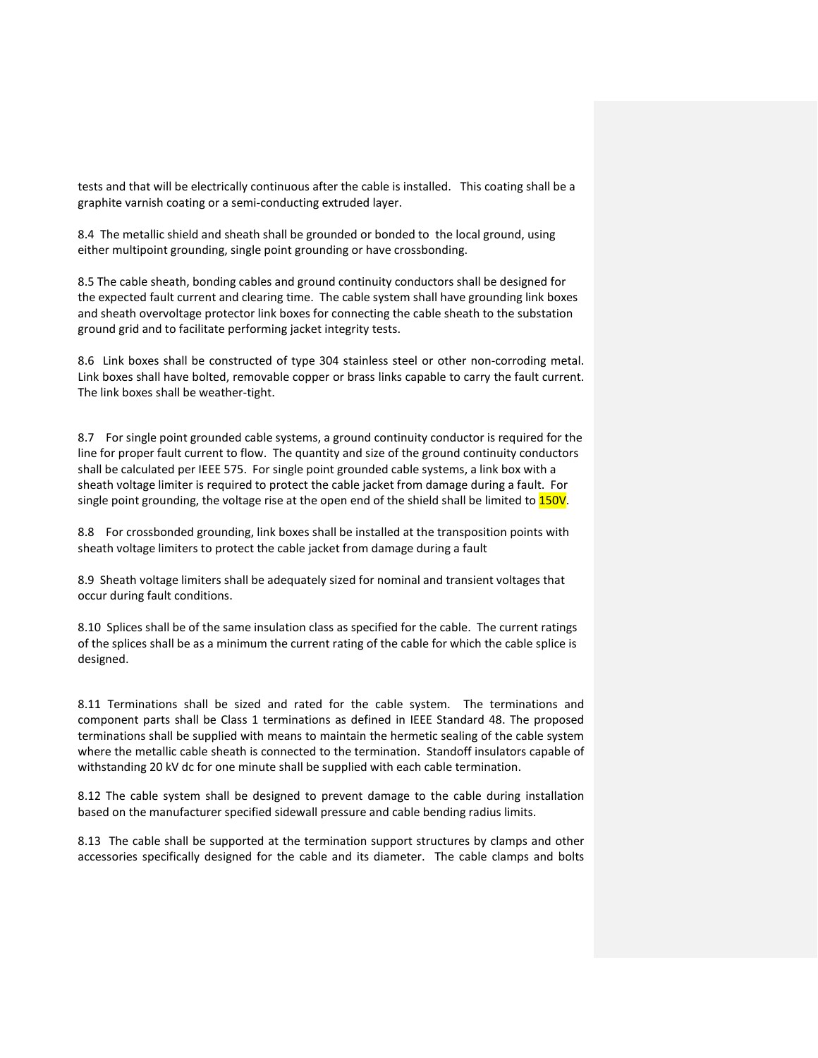tests and that will be electrically continuous after the cable is installed. This coating shall be a graphite varnish coating or a semi-conducting extruded layer.

8.4 The metallic shield and sheath shall be grounded or bonded to the local ground, using either multipoint grounding, single point grounding or have crossbonding.

8.5 The cable sheath, bonding cables and ground continuity conductors shall be designed for the expected fault current and clearing time. The cable system shall have grounding link boxes and sheath overvoltage protector link boxes for connecting the cable sheath to the substation ground grid and to facilitate performing jacket integrity tests.

8.6 Link boxes shall be constructed of type 304 stainless steel or other non-corroding metal. Link boxes shall have bolted, removable copper or brass links capable to carry the fault current. The link boxes shall be weather-tight.

8.7 For single point grounded cable systems, a ground continuity conductor is required for the line for proper fault current to flow. The quantity and size of the ground continuity conductors shall be calculated per IEEE 575. For single point grounded cable systems, a link box with a sheath voltage limiter is required to protect the cable jacket from damage during a fault. For single point grounding, the voltage rise at the open end of the shield shall be limited to 150V.

8.8 For crossbonded grounding, link boxes shall be installed at the transposition points with sheath voltage limiters to protect the cable jacket from damage during a fault

8.9 Sheath voltage limiters shall be adequately sized for nominal and transient voltages that occur during fault conditions.

8.10 Splices shall be of the same insulation class as specified for the cable. The current ratings of the splices shall be as a minimum the current rating of the cable for which the cable splice is designed.

8.11 Terminations shall be sized and rated for the cable system. The terminations and component parts shall be Class 1 terminations as defined in IEEE Standard 48. The proposed terminations shall be supplied with means to maintain the hermetic sealing of the cable system where the metallic cable sheath is connected to the termination. Standoff insulators capable of withstanding 20 kV dc for one minute shall be supplied with each cable termination.

8.12 The cable system shall be designed to prevent damage to the cable during installation based on the manufacturer specified sidewall pressure and cable bending radius limits.

8.13 The cable shall be supported at the termination support structures by clamps and other accessories specifically designed for the cable and its diameter. The cable clamps and bolts